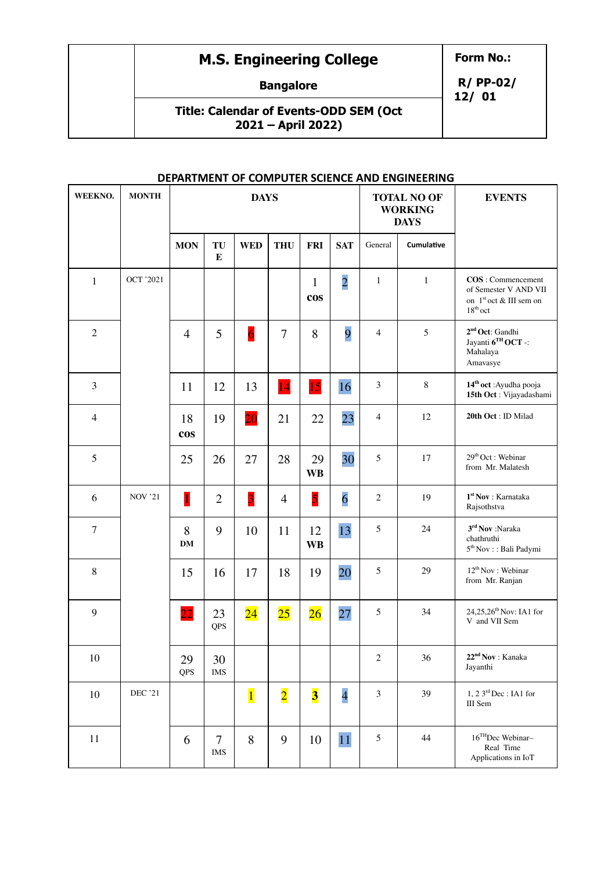## **M.S. Engineering College**

**Form No.:**

**Bangalore**

**Title: Calendar of Events-ODD SEM (Oct 2021 – April 2022)**

**R/ PP-02/ 12/ 01**

| WEEKNO.        | <b>MONTH</b>     |                  |                      | <b>DAYS</b>     |                |                            |                |                | <b>TOTAL NO OF</b><br><b>WORKING</b><br><b>DAYS</b> | <b>EVENTS</b>                                                                                       |
|----------------|------------------|------------------|----------------------|-----------------|----------------|----------------------------|----------------|----------------|-----------------------------------------------------|-----------------------------------------------------------------------------------------------------|
|                |                  | <b>MON</b>       | TU<br>${\bf E}$      | <b>WED</b>      | <b>THU</b>     | <b>FRI</b>                 | <b>SAT</b>     | General        | Cumulative                                          |                                                                                                     |
| $\mathbf{1}$   | <b>OCT '2021</b> |                  |                      |                 |                | $\mathbf{1}$<br><b>cos</b> | $\overline{2}$ | $\mathbf{1}$   | $\mathbf{1}$                                        | COS: Commencement<br>of Semester V AND VII<br>on $1st$ oct & III sem on<br>$18^{\rm th}\,{\rm oct}$ |
| $\overline{2}$ |                  | $\overline{4}$   | 5                    | $\overline{6}$  | $\overline{7}$ | 8                          | 9              | $\overline{4}$ | 5                                                   | 2 <sup>nd</sup> Oct: Gandhi<br>Jayanti 6TH OCT -:<br>Mahalaya<br>Amavasye                           |
| $\mathfrak{Z}$ |                  | 11               | 12                   | 13              | 14             | 15                         | 16             | $\mathfrak{Z}$ | $\,8\,$                                             | 14 <sup>th</sup> oct: Ayudha pooja<br>15th Oct: Vijayadashami                                       |
| $\overline{4}$ |                  | 18<br><b>cos</b> | 19                   | $\overline{20}$ | 21             | 22                         | 23             | $\overline{4}$ | 12                                                  | 20th Oct: ID Milad                                                                                  |
| 5              |                  | 25               | 26                   | 27              | 28             | 29<br><b>WB</b>            | 30             | 5              | 17                                                  | $29th$ Oct : Webinar<br>from Mr. Malatesh                                                           |
| 6              | <b>NOV '21</b>   | $\mathbf{1}$     | $\overline{2}$       | $\overline{3}$  | $\overline{4}$ | 5                          | $\overline{6}$ | $\sqrt{2}$     | 19                                                  | $\mathbf{1}^{\text{st}}$ Nov : Karnataka<br>Rajsothstva                                             |
| $\tau$         |                  | 8<br><b>DM</b>   | 9                    | 10              | 11             | 12<br><b>WB</b>            | 13             | 5              | 24                                                  | 3rd Nov :Naraka<br>chathruthi<br>$5^{\rm th}\,{\rm Nov}$ : : Bali Padymi                            |
| $\,8\,$        |                  | 15               | 16                   | 17              | 18             | 19                         | 20             | 5              | 29                                                  | 12 <sup>th</sup> Nov: Webinar<br>from Mr. Ranjan                                                    |
| 9              |                  | $\overline{22}$  | 23<br>QPS            | $\overline{24}$ | $25\,$         | 26                         | 27             | 5              | 34                                                  | 24,25,26 <sup>th</sup> Nov: IA1 for<br>V and VII Sem                                                |
| 10             |                  | 29<br>QPS        | 30<br><b>IMS</b>     |                 |                |                            |                | $\sqrt{2}$     | 36                                                  | 22 <sup>nd</sup> Nov: Kanaka<br>Jayanthi                                                            |
| $10\,$         | <b>DEC</b> '21   |                  |                      | $\overline{1}$  | $\overline{2}$ | $\overline{\mathbf{3}}$    | $\overline{4}$ | $\mathfrak{Z}$ | 39                                                  | $1, 23^{rd}$ Dec: IA1 for<br>III Sem                                                                |
| 11             |                  | 6                | $\tau$<br><b>IMS</b> | 8               | 9              | 10                         | 11             | 5              | 44                                                  | 16THDec Webinar-<br>Real Time<br>Applications in IoT                                                |

## **DEPARTMENT OF COMPUTER SCIENCE AND ENGINEERING**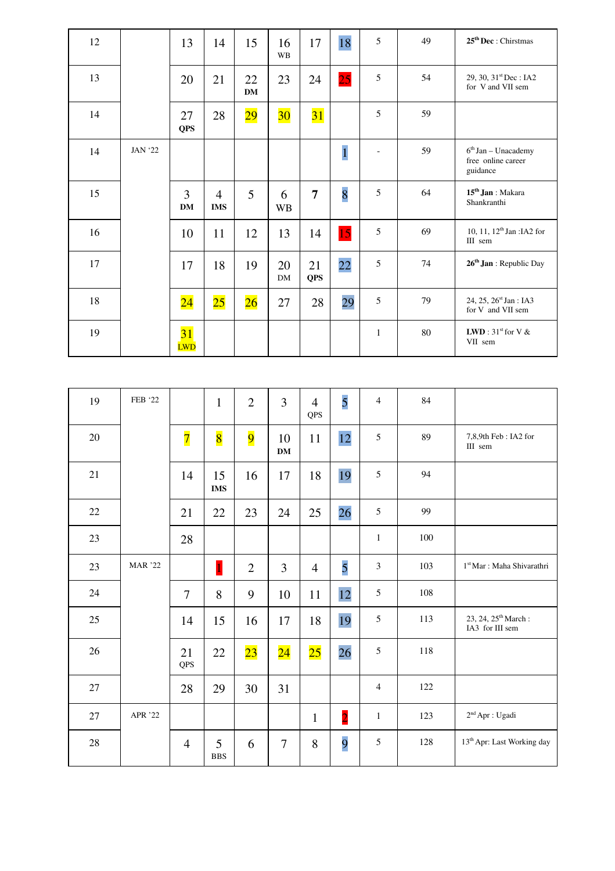| 12 |                | 13                            | 14                           | 15              | 16<br><b>WB</b> | 17               | 18             | 5            | 49 | $25th$ Dec : Chirstmas                                  |
|----|----------------|-------------------------------|------------------------------|-----------------|-----------------|------------------|----------------|--------------|----|---------------------------------------------------------|
| 13 |                | 20                            | 21                           | 22<br><b>DM</b> | 23              | 24               | 25             | 5            | 54 | 29, 30, $31st$ Dec : IA2<br>for V and VII sem           |
| 14 |                | 27<br><b>QPS</b>              | 28                           | $\overline{29}$ | 30 <sub>o</sub> | 31               |                | 5            | 59 |                                                         |
| 14 | <b>JAN '22</b> |                               |                              |                 |                 |                  | $\overline{1}$ |              | 59 | $6th$ Jan – Unacademy<br>free online career<br>guidance |
| 15 |                | 3<br><b>DM</b>                | $\overline{4}$<br><b>IMS</b> | 5               | 6<br><b>WB</b>  | $\overline{7}$   | 8              | 5            | 64 | 15 <sup>th</sup> Jan : Makara<br>Shankranthi            |
| 16 |                | 10                            | 11                           | 12              | 13              | 14               | 15             | 5            | 69 | 10, 11, 12 <sup>th</sup> Jan : IA2 for<br>III sem       |
| 17 |                | 17                            | 18                           | 19              | 20<br>DM        | 21<br><b>QPS</b> | 22             | 5            | 74 | 26 <sup>th</sup> Jan : Republic Day                     |
| 18 |                | $\overline{24}$               | 25                           | 26              | 27              | 28               | 29             | 5            | 79 | 24, 25, 26 <sup>st</sup> Jan : IA3<br>for V and VII sem |
| 19 |                | $\overline{31}$<br><b>LWD</b> |                              |                 |                 |                  |                | $\mathbf{1}$ | 80 | <b>LWD</b> : $31^{\text{st}}$ for V &<br>VII sem        |

| 19 | FEB '22        |                | $\mathbf{1}$     | $\overline{2}$ | $\overline{3}$  | $\overline{4}$<br>QPS | $\overline{5}$ | $\overline{4}$ | 84  |                                                    |
|----|----------------|----------------|------------------|----------------|-----------------|-----------------------|----------------|----------------|-----|----------------------------------------------------|
| 20 |                | $\overline{7}$ | $\overline{8}$   | $\overline{9}$ | 10<br><b>DM</b> | 11                    | 12             | 5              | 89  | 7,8,9th Feb: IA2 for<br>III sem                    |
| 21 |                | 14             | 15<br><b>IMS</b> | 16             | 17              | 18                    | 19             | 5              | 94  |                                                    |
| 22 |                | 21             | 22               | 23             | 24              | 25                    | 26             | 5              | 99  |                                                    |
| 23 |                | 28             |                  |                |                 |                       |                | $\mathbf{1}$   | 100 |                                                    |
| 23 | <b>MAR</b> '22 |                | $\mathbf{1}$     | $\overline{2}$ | $\overline{3}$  | $\overline{4}$        | 5              | 3              | 103 | 1 <sup>st</sup> Mar : Maha Shivarathri             |
| 24 |                | $\overline{7}$ | 8                | 9              | 10              | 11                    | 12             | 5              | 108 |                                                    |
| 25 |                | 14             | 15               | 16             | 17              | 18                    | 19             | 5              | 113 | 23, 24, 25 <sup>th</sup> March:<br>IA3 for III sem |
| 26 |                | 21<br>QPS      | 22               | 23             | $\overline{24}$ | 25                    | 26             | 5              | 118 |                                                    |
| 27 |                | 28             | 29               | 30             | 31              |                       |                | $\overline{4}$ | 122 |                                                    |
| 27 | APR '22        |                |                  |                |                 | $\mathbf{1}$          | $\overline{2}$ | $\mathbf{1}$   | 123 | $2^{\rm nd}$ Apr : Ugadi                           |
| 28 |                | $\overline{4}$ | 5<br><b>BBS</b>  | 6              | $\overline{7}$  | 8                     | 9              | 5              | 128 | 13 <sup>th</sup> Apr: Last Working day             |